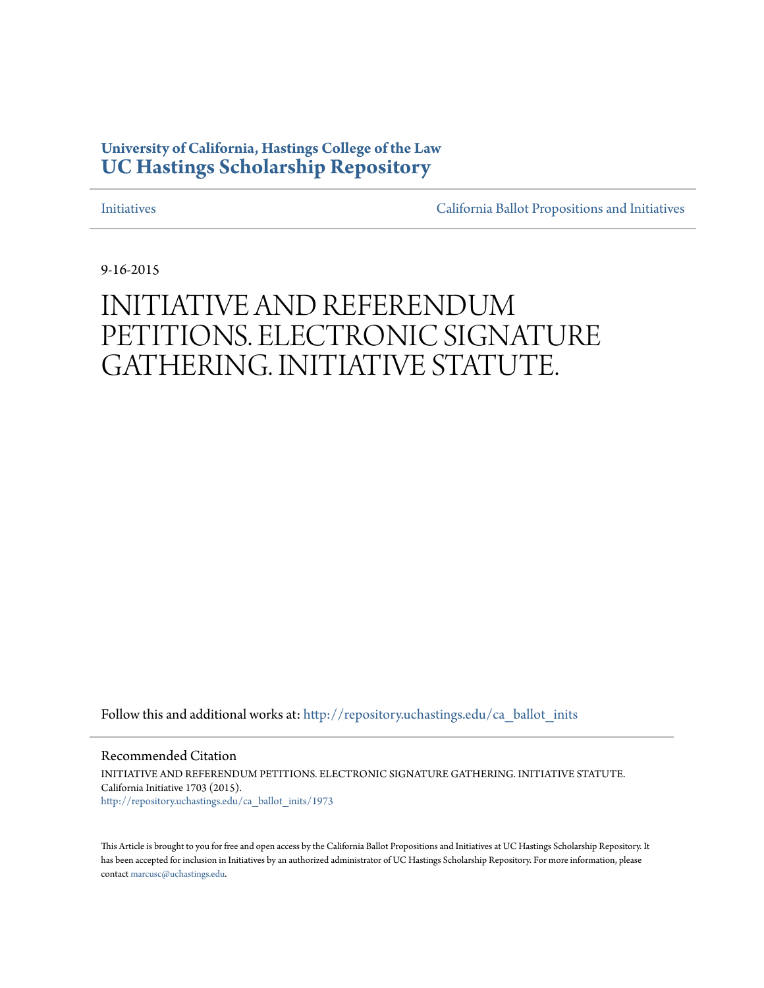### **University of California, Hastings College of the Law [UC Hastings Scholarship Repository](http://repository.uchastings.edu?utm_source=repository.uchastings.edu%2Fca_ballot_inits%2F1973&utm_medium=PDF&utm_campaign=PDFCoverPages)**

[Initiatives](http://repository.uchastings.edu/ca_ballot_inits?utm_source=repository.uchastings.edu%2Fca_ballot_inits%2F1973&utm_medium=PDF&utm_campaign=PDFCoverPages) [California Ballot Propositions and Initiatives](http://repository.uchastings.edu/ca_ballots?utm_source=repository.uchastings.edu%2Fca_ballot_inits%2F1973&utm_medium=PDF&utm_campaign=PDFCoverPages)

9-16-2015

# INITIATIVE AND REFERENDUM PETITIONS. ELECTRONIC SIGNATURE GATHERING. INITIATIVE STATUTE.

Follow this and additional works at: [http://repository.uchastings.edu/ca\\_ballot\\_inits](http://repository.uchastings.edu/ca_ballot_inits?utm_source=repository.uchastings.edu%2Fca_ballot_inits%2F1973&utm_medium=PDF&utm_campaign=PDFCoverPages)

Recommended Citation INITIATIVE AND REFERENDUM PETITIONS. ELECTRONIC SIGNATURE GATHERING. INITIATIVE STATUTE. California Initiative 1703 (2015). [http://repository.uchastings.edu/ca\\_ballot\\_inits/1973](http://repository.uchastings.edu/ca_ballot_inits/1973?utm_source=repository.uchastings.edu%2Fca_ballot_inits%2F1973&utm_medium=PDF&utm_campaign=PDFCoverPages)

This Article is brought to you for free and open access by the California Ballot Propositions and Initiatives at UC Hastings Scholarship Repository. It has been accepted for inclusion in Initiatives by an authorized administrator of UC Hastings Scholarship Repository. For more information, please contact [marcusc@uchastings.edu](mailto:marcusc@uchastings.edu).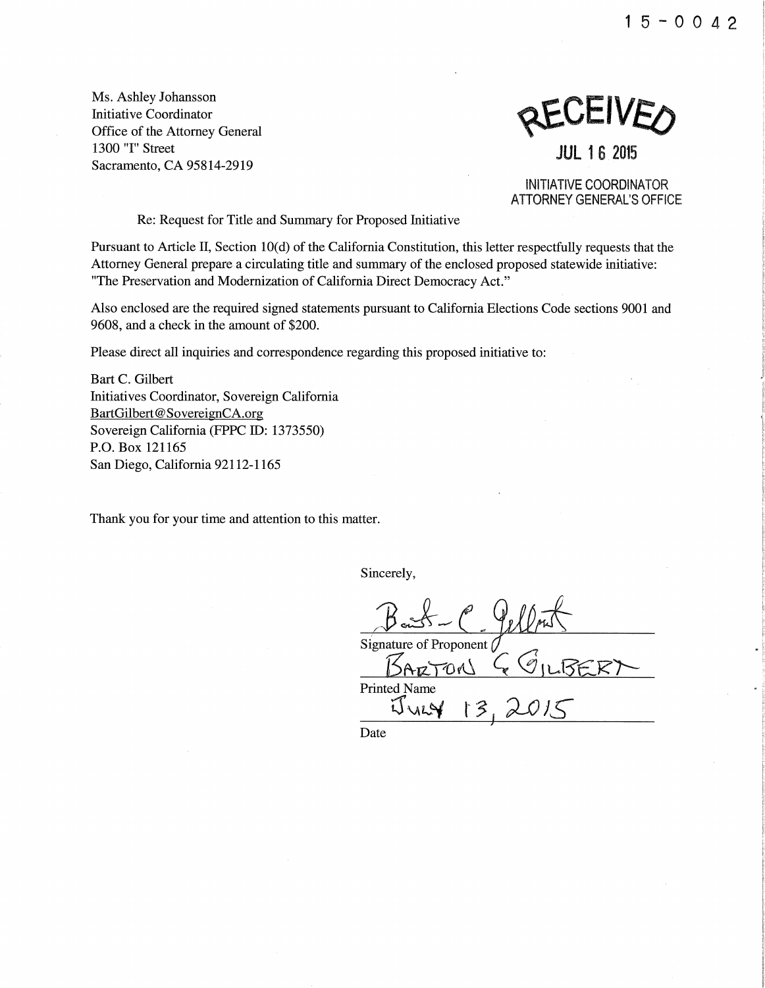15-0042

Ms. Ashley Johansson Initiative Coordinator Office of the Attorney General 1300 "I" Street Sacramento, CA 95814-2919

REVEIVED

**JUL** 16 2015

INITIATIVE COORDINATOR ATTORNEY GENERAL'S OFFICE

Re: Request for Title and Summary for Proposed Initiative

Pursuant to Article II, Section 10(d) of the California Constitution, this letter respectfully requests that the Attorney General prepare a circulating title and summary of the enclosed proposed statewide initiative: "The Preservation and Modernization of California Direct Democracy Act."

Also enclosed are the required signed statements pursuant to California Elections Code sections 9001 and 9608, and a check in the amount of \$200.

Please direct all inquiries and correspondence regarding this proposed initiative to:

Bart C. Gilbert Initiatives Coordinator, Sovereign California BartGilbert@SovereignCA.org Sovereign California (FPPC ID: 1373550) P.O. Box 121165 San Diego, California 92112-1165

Thank you for your time and attention to this matter.

Sincerely,

Signature of Proponent  $B$ ARTON  $G$  GILBERT Printed Name  $W_{W}$   $3$ 

Date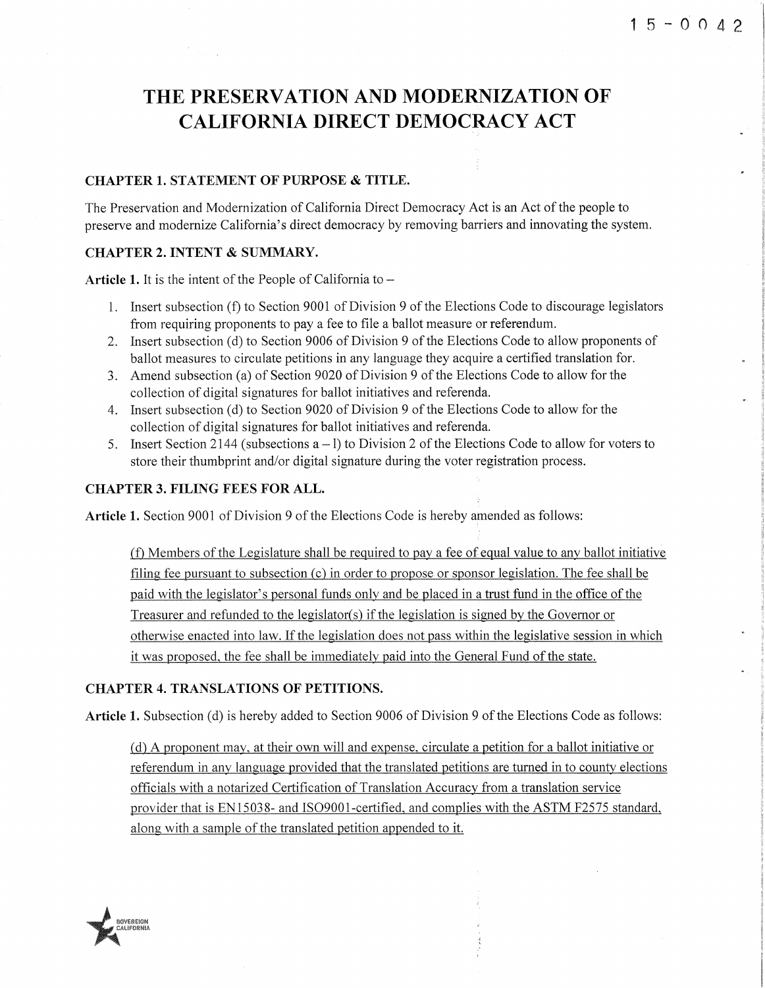## **THE PRESERVATION AND MODERNIZATION OF CALIFORNIA DIRECT DEMOCRACY ACT**

#### **CHAPTER 1. STATEMENT OF PURPOSE & TITLE.**

The Preservation and Modernization of California Direct Democracy Act is an Act of the people to preserve and modernize California's direct democracy by removing barriers and innovating the system.

#### **CHAPTER 2. INTENT & SUMMARY.**

**Article 1.** It is the intent of the People of California to-

- 1. Insert subsection (f) to Section 9001 of Division 9 ofthe Elections Code to discourage legislators from requiring proponents to pay a fee to file a ballot measure or referendum.
- 2. Insert subsection (d) to Section 9006 of Division 9 of the Elections Code to allow proponents of ballot measures to circulate petitions in any language they acquire a certified translation for.
- 3. Amend subsection (a) of Section 9020 of Division 9 of the Elections Code to allow for the collection of digital signatures for ballot initiatives and referenda.
- 4. Insert subsection (d) to Section 9020 of Division 9 of the Elections Code to allow for the collection of digital signatures for ballot initiatives and referenda.
- 5. Insert Section 2144 (subsections  $a 1$ ) to Division 2 of the Elections Code to allow for voters to store their thumbprint and/or digital signature during the voter registration process.

#### **CHAPTER 3. FILING FEES FOR ALL.**

Article 1. Section 9001 of Division 9 of the Elections Code is hereby amended as follows:

(f) Members of the Legislature shall be required to pay a fee of equal value to any ballot initiative filing fee pursuant to subsection (c) in order to propose or sponsor legislation. The fee shall be paid with the legislator's personal funds only and be placed in a trust fund in the office of the Treasurer and refunded to the legislator(s) if the legislation is signed by the Governor or otherwise enacted into law. If the legislation does not pass within the legislative session in which it was proposed, the fee shall be immediately paid into the General Fund of the state.

#### **CHAPTER 4. TRANSLATIONS OF PETITIONS.**

**Article 1.** Subsection (d) is hereby added to Section 9006 of Division 9 of the Elections Code as follows:

(d) A proponent may, at their own will and expense, circulate a petition for a ballot initiative or referendum in any language provided that the translated petitions are turned in to county elections officials with a notarized Certification of Translation Accuracy from a translation service provider that is EN15038- and IS09001-certified, and complies with the ASTM F2575 standard, along with a sample of the translated petition appended to it.

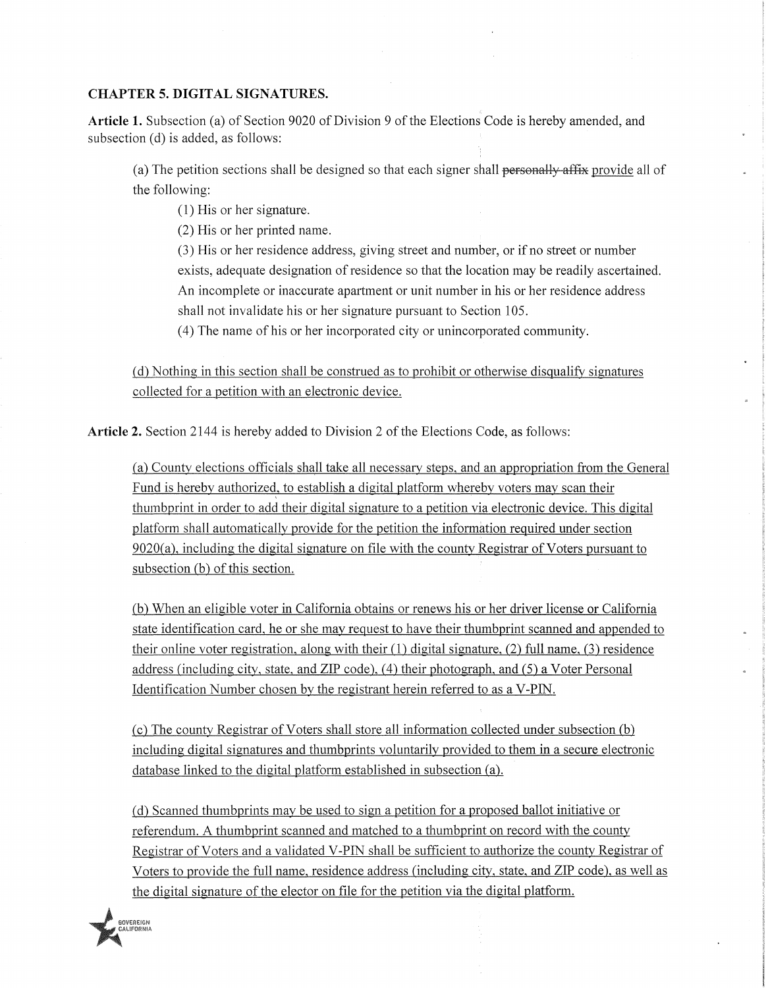#### **CHAPTER 5. DIGITAL SIGNATURES.**

Article 1. Subsection (a) of Section 9020 of Division 9 of the Elections Code is hereby amended, and subsection (d) is added, as follows:

(a) The petition sections shall be designed so that each signer shall personally affix provide all of the following:

(1) His or her signature.

(2) His or her printed name.

(3) His or her residence address, giving street and number, or if no street or number exists, adequate designation of residence so that the location may be readily ascertained. An incomplete or inaccurate apartment or unit number in his or her residence address shall not invalidate his or her signature pursuant to Section 105.

( 4) The name of his or her incorporated city or unincorporated community.

(d) Nothing in this section shall be construed as to prohibit or otherwise disqualify signatures collected for a petition with an electronic device.

**Article 2.** Section 2144 is hereby added to Division 2 of the Elections Code, as follows:

(a) County elections officials shall take all necessary steps, and an appropriation from the General Fund is hereby authorized, to establish a digital platform whereby voters may scan their thumbprint in order to add their digital signature to a petition via electronic device. This digital platform shall automatically provide for the petition the information required under section 9020(a), including the digital signature on file with the county Registrar of Voters pursuant to subsection (b) of this section.

(b) When an eligible voter in California obtains or renews his or her driver license or California state identification card, he or she may request to have their thumbprint scanned and appended to their online voter registration, along with their (1) digital signature, (2) full name, (3) residence address (including city, state, and ZIP code), (4) their photograph, and (5) a Voter Personal Identification Number chosen by the registrant herein referred to as a V-PIN.

(c) The county Registrar ofVoters shall store all information collected under subsection (b) including digital signatures and thumbprints voluntarily provided to them in a secure electronic database linked to the digital platform established in subsection (a).

(d) Scanned thumbprints may be used to sign a petition for a proposed ballot initiative or referendum. A thumbprint scanned and matched to a thumbprint on record with the county Registrar of Voters and a validated V-PIN shall be sufficient to authorize the county Registrar of Voters to provide the full name, residence address (including city, state, and ZIP code), as well as the digital signature of the elector on file for the petition via the digital platform .

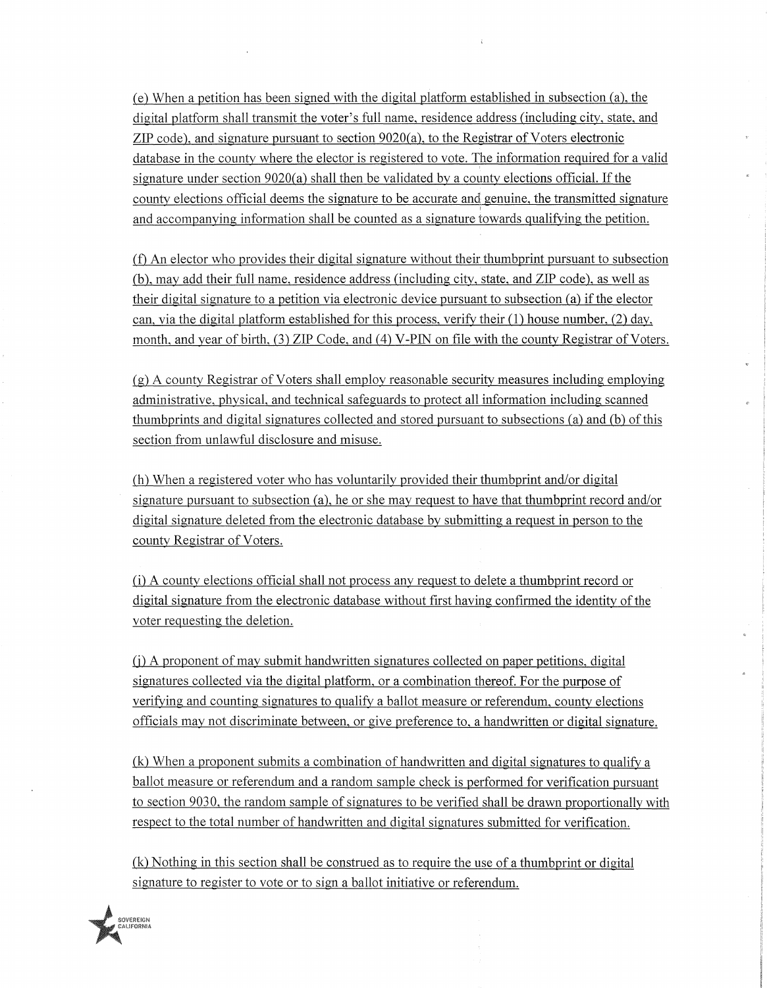(e) When a petition has been signed with the digital platform established in subsection (a), the digital platform shall transmit the voter's full name, residence address (including city, state, and ZIP code), and signature pursuant to section 9020(a), to the Registrar of Voters electronic database in the county where the elector is registered to vote. The information required for a valid signature under section 9020(a) shall then be validated by a county elections official. If the county elections official deems the signature to be accurate and genuine, the transmitted signature and accompanying information shall be counted as a signature towards qualifying the petition.

(f) An elector who provides their digital signature without their thumbprint pursuant to subsection (b), may add their full name, residence address (including city, state, and ZIP code), as well as their digital signature to a petition via electronic device pursuant to subsection (a) if the elector can, via the digital platform established for this process, verify their  $(1)$  house number,  $(2)$  day, month, and year of birth, (3) ZIP Code, and (4) V-PIN on file with the county Registrar of Voters.

(g) A county Registrar of Voters shall employ reasonable security measures including employing administrative, physical, and technical safeguards to protect all information including scanned thumbprints and digital signatures collected and stored pursuant to subsections (a) and (b) of this section from unlawful disclosure and misuse.

(h) When a registered voter who has voluntarily provided their thumbprint and/or digital signature pursuant to subsection (a), he or she may request to have that thumbprint record and/or digital signature deleted from the electronic database by submitting a request in person to the county Registrar of Voters.

(i) A county elections official shall not process any request to delete a thumbprint record or digital signature from the electronic database without first having confirmed the identity of the voter requesting the deletion.

(j) A proponent of may submit handwritten signatures collected on paper petitions, digital signatures collected via the digital platform, or a combination thereof. For the purpose of verifying and counting signatures to qualify a ballot measure or referendum, county elections officials may not discriminate between, or give preference to, a handwritten or digital signature.

(k) When a proponent submits a combination of handwritten and digital signatures to qualify a ballot measure or referendum and a random sample check is performed for verification pursuant to section 9030, the random sample of signatures to be verified shall be drawn proportionally with respect to the total number of handwritten and digital signatures submitted for verification.

(k) Nothing in this section shall be construed as to require the use of a thumbprint or digital signature to register to vote or to sign a ballot initiative or referendum.

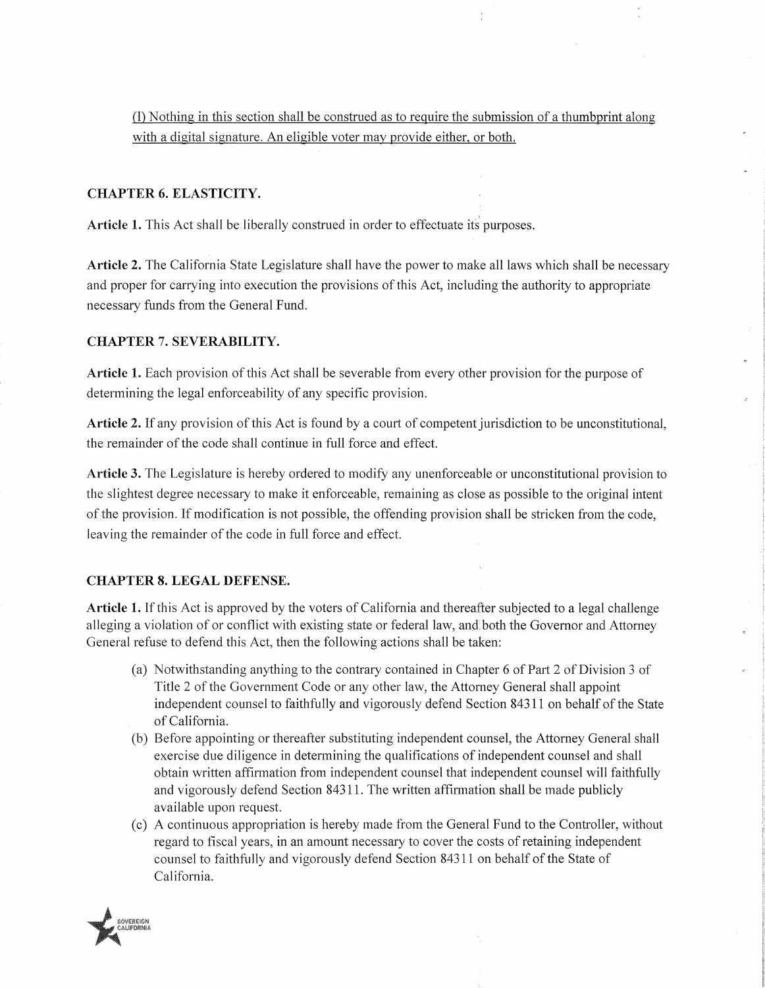(1) Nothing in this section shall be construed as to require the submission of a thumbprint along with a digital signature. An eligible voter may provide either, or both.

#### **CHAPTER 6. ELASTICITY.**

**Article 1.** This Act shall be liberally construed in order to effectuate its purposes.

**Article 2.** The California State Legislature shall have the power to make all laws which shall be necessary and proper for carrying into execution the provisions of this Act, including the authority to appropriate necessary funds from the General Fund.

#### **CHAPTER 7. SEVERABILITY.**

**Article 1.** Each provision of this Act shall be severable from every other provision for the purpose of determining the legal enforceability of any specific provision.

**Article** 2. If any provision of this Act is found by a court of competent jurisdiction to be unconstitutional, the remainder of the code shall continue in full force and effect.

**Article** 3. The Legislature is hereby ordered to modify any unenforceable or tmconstitutional provision to the slightest degree necessary to make it enforceable, remaining as close as possible to the original intent of the provision. If modification is not possible, the offending provision shall be stricken from the code, leaving the remainder of the code in full force and efiect.

#### **CHAPTER 8. LEGAL DEFENSE.**

**Article 1.** If this Act is approved by the voters of California and thereafter subjected to a legal challenge alleging a violation of or conflict with existing state or federal law, and, both the Govemor and Attorney General refuse to defend this Act, then the following actions shall be taken:

- (a) Notwithstanding anything to the contrary contained in Chapter 6 of Part 2 of Division 3 of Title 2 of the Government Code or any other law, the Attomey General shall appoint independent counsel to faithfully and vigorously defend Section 84311 on behalf of the State of California.
- (b) Before appointing or thereafter substituting independent counsel, the Attomey General shall exercise due diligence in determining the qualifications of independent counsel and shall obtain written affinnation from independent counsel that independent counsel will faithfully and vigorously defend Section 84311. The written affinnation shall be made publicly available upon request.
- (c) A continuous appropriation is hereby made from the General Fund to the Controller, without regard to fiscal years, in an amount necessary to cover the costs of retaining independent counsel to faithfully and vigorously defend Section 84311 on behalf of the State of California.